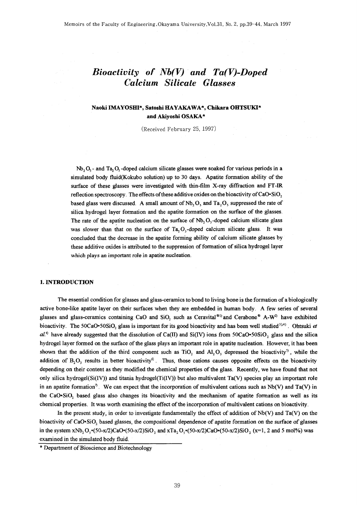# $Biocativity$  of  $Nb(V)$  and  $Ta(V)$ -Doped Calcium Silicate Glasses

# Naoki IMAYOSHI\*, Satoshi HAYAKAWA\*, Chikara OHTSUKI\* and Akivoshi OSAKA\*

(Received February 25, 1997)

 $Nb$ , O<sub>5</sub> - and Ta, O<sub>5</sub> -doped calcium silicate glasses were soaked for various periods in a simulated body fluid(Kokubo solution) up to 30 days. Apatite formation ability of the surface of these glasses were investigated with thin-film X-ray diffraction and FT-IR reflection spectroscopy. The effects of these additive oxides on the bioactivity of CaO·SiO, based glass were discussed. A small amount of  $Nb$ , O, and Ta, O, suppressed the rate of silica hydrogel layer formation and the apatite formation on the surface of the glasses. The rate of the apatite nucleation on the surface of  $Nb$ ,  $O$ , -doped calcium silicate glass was slower than that on the surface of Ta, O<sub>s</sub>-doped calcium silicate glass. It was concluded that the decrease in the apatite forming ability of calcium silicate glasses by these additive oxides is attributed to the suppression of formation of silica hydrogel layer which plays an important role in apatite nucleation.

# 1. INTRODUCTION

The essential condition for glasses and glass-ceramics to bond to living bone is the formation of a biologically active bone-like apatite layer on their surfaces when they are embedded in human body. A few series of several glasses and glass-ceramics containing CaO and SiO<sub>2</sub> such as Ceravital®<sup>1)</sup> and Cerabone® A-W<sup>2)</sup> have exhibited bioactivity. The 50CaO+50SiO, glass is important for its good bioactivity and has been well studied<sup>3),4)</sup>. Ohtsuki et  $al$ <sup>4</sup> have already suggested that the dissolution of Ca(II) and Si(IV) ions from 50CaO-50SiO<sub>2</sub> glass and the silica hydrogel layer formed on the surface of the glass plays an important role in apatite nucleation. However, it has been shown that the addition of the third component such as TiO, and Al, O, depressed the bioactivity<sup>5</sup>, while the addition of  $B_2O_3$  results in better bioactivity<sup>6</sup>. Thus, those cations causes opposite effects on the bioactivity depending on their content as they modified the chemical properties of the glass. Recently, we have found that not only silica hydrogel( $Si(IV)$ ) and titania hydrogel( $Ti(IV)$ ) but also multivalent  $Ta(V)$  species play an important role in an apatite formation<sup>7</sup>. We can expect that the incorporation of multivalent cations such as Nb(V) and Ta(V) in the CaO-SiO, based glass also changes its bioactivity and the mechanism of apatite formation as well as its chemical properties. It was worth examining the effect of the incorporation of multivalent cations on bioactivity.

In the present study, in order to investigate fundamentally the effect of addition of  $Nb(V)$  and  $Ta(V)$  on the bioactivity of CaO·SiO<sub>2</sub> based glasses, the compositional dependence of apatite formation on the surface of glasses in the system xNb<sub>2</sub>O<sub>5</sub> $\cdot$ (50-x/2)CaO $\cdot$ (50-x/2)SiO<sub>2</sub> and xTa<sub>2</sub>O<sub>5</sub> $\cdot$ (50-x/2)CaO $\cdot$ (50-x/2)SiO<sub>2</sub> (x=1, 2 and 5 mol%) was examined in the simulated body fluid.

<sup>\*</sup> Department of Bioscience and Biotechnology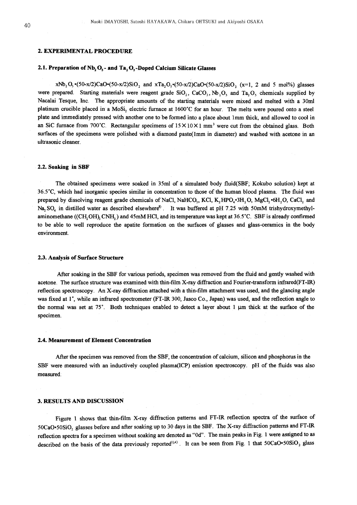# 2. EXPERIMENTAL PROCEDURE

## 2.1. Preparation of  $Nb_2O_5$ - and  $Ta_2O_5$ -Doped Calcium Silicate Glasses

xNb<sub>2</sub>O<sub>3</sub> (50-x/2)CaO·(50-x/2)SiO<sub>2</sub> and xTa<sub>2</sub>O<sub>3</sub>·(50-x/2)CaO·(50-x/2)SiO<sub>2</sub> (x=1, 2 and 5 mol%) glasses were prepared. Starting materials were reagent grade  $SiO_2$ ,  $CaCO_3$ ,  $Nb_2O_3$  and Ta<sub>2</sub>O<sub>3</sub> chemicals supplied by Nacalai Tesque, Inc. The appropriate amounts of the starting materials were mixed and melted with a 30ml platinum crucible placed in a MoSi, electric furnace at 1600°C for an hour. The melts were poured onto a steel plate and immediately pressed with another one to be formed into a place about 1mm thick, and allowed to cool in an SiC furnace from 700°C. Rectangular specimens of  $15 \times 10 \times 1$  mm<sup>3</sup> were cut from the obtained glass. Both surfaces of the specimens were polished with a diamond paste(1mm in diameter) and washed with acetone in an ultrasonic cleaner.

## 2.2. Soaking in SBF

The obtained specimens were soaked in 35ml of a simulated body fluid(SBF; Kokubo solution) kept at 36.5°C, which had inorganic species similar in concentration to those of the human blood plasma. The fluid was prepared by dissolving reagent grade chemicals of NaCl, NaHCO<sub>3</sub>, KCl, K<sub>2</sub>HPO<sub>4</sub>.3H<sub>2</sub>O, MgCl<sub>2</sub>.6H<sub>2</sub>O, CaCl<sub>2</sub> and Na, SO<sub>4</sub> in distilled water as described elsewhere<sup>8</sup>. It was buffered at pH 7.25 with 50mM trishydroxymethylaminomethane ((CH, OH), CNH, ) and 45mM HCl, and its temperature was kept at 36.5°C. SBF is already confirmed to be able to well reproduce the apatite formation on the surfaces of glasses and glass-ceramics in the body environment.

#### 2.3. Analysis of Surface Structure

After soaking in the SBF for various periods, specimen was removed from the fluid and gently washed with acetone. The surface structure was examined with thin-film X-ray diffraction and Fourier-transform infrared(FT-IR) reflection spectroscopy. An X-ray diffraction attached with a thin-film attachment was used, and the glancing angle was fixed at 1°, while an infrared spectrometer (FT-IR 300, Jasco Co., Japan) was used, and the reflection angle to the normal was set at  $75^{\circ}$ . Both techniques enabled to detect a layer about 1 µm thick at the surface of the specimen.

#### 2.4. Measurement of Element Concentration

After the specimen was removed from the SBF, the concentration of calcium, silicon and phosphorus in the SBF were measured with an inductively coupled plasma(ICP) emission spectroscopy. pH of the fluids was also measured.

# 3. RESULTS AND DISCUSSION

Figure 1 shows that thin-film X-ray diffraction patterns and FT-IR reflection spectra of the surface of 50CaO·50SiO<sub>2</sub> glasses before and after soaking up to 30 days in the SBF. The X-ray diffraction patterns and FT-IR reflection spectra for a specimen without soaking are denoted as "0d". The main peaks in Fig. 1 were assigned to as described on the basis of the data previously reported<sup>3),4)</sup>. It can be seen from Fig. 1 that  $50CaO-50SiO<sub>2</sub>$  glass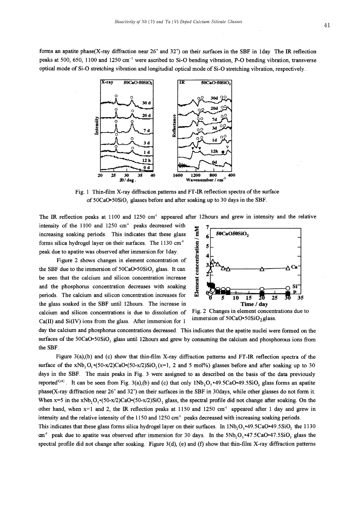forms an apatite phase(X-ray diffraction near  $26^{\circ}$  and  $32^{\circ}$ ) on their surfaces in the SBF in 1day The IR reflection peaks at 500, 650, 1100 and 1250 cm<sup>-1</sup> were ascribed to Si-O bending vibration, P-O bending vibration, transverse optical mode of Si-O stretching vibration and longitudial optical mode of Si-O stretching vibration, respectively.



Fig. 1 Thin-film X-ray diffraction patterns and FT-IR reflection spectra of the surface of 50CaO+50SiO<sub>2</sub> glasses before and after soaking up to 30 days in the SBF.

The IR reflection peaks at 1100 and 1250 cm<sup>-1</sup> appeared after 12 hours and grew in intensity and the relative

intensity of the 1100 and 1250 cm<sup>-1</sup> peaks decreased with increasing soaking periods. This indicates that these glass forms silica hydrogel layer on their surfaces. The 1130 cm<sup>-1</sup> peak due to apatite was observed after immersion for 1day.

Figure 2 shows changes in element concentration of the SBF due to the immersion of 50CaO.50SiO<sub>2</sub> glass. It can be seen that the calcium and silicon concentration increase and the phosphorus concentration decreases with soaking periods. The calcium and silicon concentration increases for the glass soaked in the SBF until 12hours. The increase in calcium and silicon concentrations is due to dissolution of  $Ca(II)$  and  $Si(IV)$  ions from the glass. After immersion for 1



Fig. 2 Changes in element concentrations due to immersion of 50CaO.50SiO<sub>2</sub> glass.

day the calcium and phosphorus concentrations decreased. This indicates that the apatite nuclei were formed on the surfaces of the  $50CaO-50SiO<sub>2</sub>$  glass until 12hours and grew by consuming the calcium and phosphorous ions from the SBF.

Figure  $3(a)$ , (b) and (c) show that thin-film X-ray diffraction patterns and FT-IR reflection spectra of the surface of the xNb, O<sub>s</sub> $(50-x/2)CaO(50-x/2)SiO(50-x/2)$  and 5 mol%) glasses before and after soaking up to 30 days in the SBF. The main peaks in Fig. 3 were assigned to as described on the basis of the data previously reported<sup>3),4)</sup>. It can be seen from Fig. 3(a),(b) and (c) that only  $1Nb_2O_5*49.5CaO*49.5SiO_2$  glass forms an apatite phase(X-ray diffraction near 26° and 32°) on their surfaces in the SBF in 30days, while other glasses do not form it. When x=5 in the xNb<sub>2</sub>O<sub>5</sub> $\cdot$ (50-x/2)CaO $\cdot$ (50-x/2)SiO<sub>2</sub> glass, the spectral profile did not change after soaking. On the other hand, when  $x=1$  and 2, the IR reflection peaks at 1150 and 1250 cm<sup>-1</sup> appeared after 1 day and grew in intensity and the relative intensity of the 1150 and 1250 cm<sup>-1</sup> peaks decreased with increasing soaking periods.

This indicates that these glass forms silica hydrogel layer on their surfaces. In  $1Nb_2O$ , -49.5CaO-49.5SiO<sub>2</sub> the 1130 cm<sup>-1</sup> peak due to apatite was observed after immersion for 30 days. In the  $5Nb_2O_2$   $47.5CaO$   $47.5SiO_2$  glass the spectral profile did not change after soaking. Figure  $3(d)$ , (e) and (f) show that thin-film X-ray diffraction patterns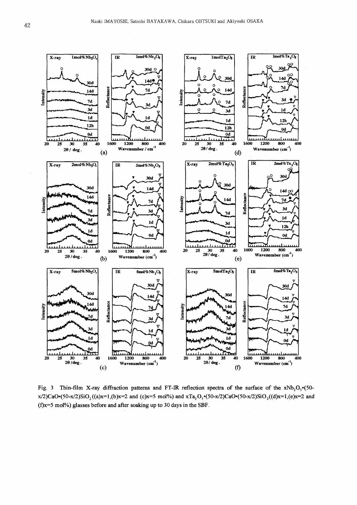

Fig. 3 Thin-film X-ray diffraction patterns and FT-IR reflection spectra of the surface of the  $xNb<sub>2</sub>O<sub>s</sub>$  (50x/2)CaO·(50-x/2)SiO<sub>2</sub>((a)x=1,(b)x=2 and (c)x=5 mol%) and xTa<sub>2</sub>O<sub>3</sub>·(50-x/2)CaO·(50-x/2)SiO<sub>2</sub>((d)x=1,(e)x=2 and  $(f)x=5$  mol%) glasses before and after soaking up to 30 days in the SBF.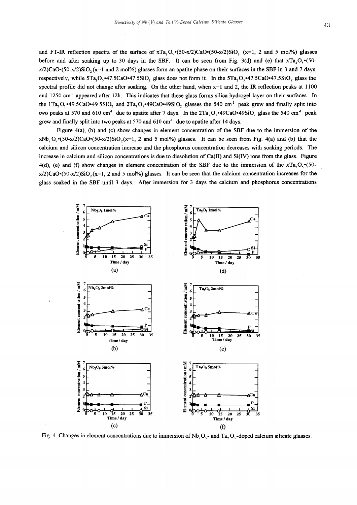and FT-IR reflection spectra of the surface of  $xTa$ ,  $O_x(50-x/2)CaO_x(50-x/2)SiO_x$ ,  $(x=1, 2, 2, 5, 5, 6)$  glasses before and after soaking up to 30 days in the SBF. It can be seen from Fig. 3(d) and (e) that  $xTa, O, (50-n)$  $x/2$ )CaO·(50-x/2)SiO, (x=1 and 2 mol%) glasses form an apatite phase on their surfaces in the SBF in 3 and 7 days, respectively, while 5Ta, O, \*47.5CaO\*47.5SiO, glass does not form it. In the 5Ta, O, \*47.5CaO\*47.5SiO, glass the spectral profile did not change after soaking. On the other hand, when  $x=1$  and 2, the IR reflection peaks at 1100 and 1250 cm<sup>-1</sup> appeared after 12h. This indicates that these glass forms silica hydrogel layer on their surfaces. In the  $1Ta_2O_5$  -49.5CaO-49.5SiO<sub>2</sub> and  $2Ta_2O_5$ -49CaO-49SiO<sub>2</sub> glasses the 540 cm<sup>-1</sup> peak grew and finally split into two peaks at 570 and 610 cm<sup>-1</sup> due to apatite after 7 days. In the  $2Ta$ ,  $O_s$  **-49CaO -49SiO**, glass the 540 cm<sup>-1</sup> peak grew and finally split into two peaks at 570 and 610 cm<sup>-1</sup> due to apatite after 14 days.

Figure  $4(a)$ , (b) and (c) show changes in element concentration of the SBF due to the immersion of the  $xNb_2O_3(50-x/2)CaO_5(50-x/2)SiO_2(x=1, 2 \text{ and } 5 \text{ mol})$  glasses. It can be seen from Fig. 4(a) and (b) that the calcium and silicon concentration increase and the phosphorus concentration decreases with soaking periods. The increase in calcium and silicon concentrations is due to dissolution of  $Ca(II)$  and  $Si(IV)$  ions from the glass. Figure 4(d), (e) and (f) show changes in element concentration of the SBF due to the immersion of the  $xTa, O, \cdot (50-\pi)$ x/2)CaO·(50-x/2)SiO<sub>2</sub>(x=1, 2 and 5 mol%) glasses. It can be seen that the calcium concentration increases for the glass soaked in the SBF until 3 days. After immersion for 3 days the calcium and phosphorus concentrations



Fig. 4 Changes in element concentrations due to immersion of  $Nb_2O_5$ - and Ta<sub>2</sub>O<sub>5</sub>-doped calcium silicate glasses.